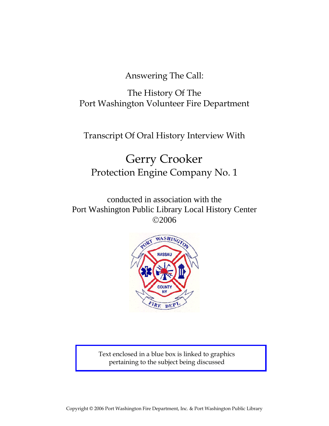Answering The Call:

The History Of The Port Washington Volunteer Fire Department

Transcript Of Oral History Interview With

# Gerry Crooker Protection Engine Company No. 1

conducted in association with the Port Washington Public Library Local History Center ©2006



Text enclosed in a blue box is linked to graphics pertaining to the subject being discussed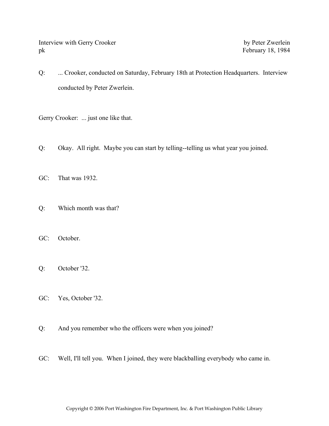Interview with Gerry Crooker by Peter Zwerlein pk February 18, 1984

Q: ... Crooker, conducted on Saturday, February 18th at Protection Headquarters. Interview conducted by Peter Zwerlein.

Gerry Crooker: ... just one like that.

- Q: Okay. All right. Maybe you can start by telling--telling us what year you joined.
- GC: That was 1932.
- Q: Which month was that?
- GC: October.
- Q: October '32.
- GC: Yes, October '32.
- Q: And you remember who the officers were when you joined?
- GC: Well, I'll tell you. When I joined, they were blackballing everybody who came in.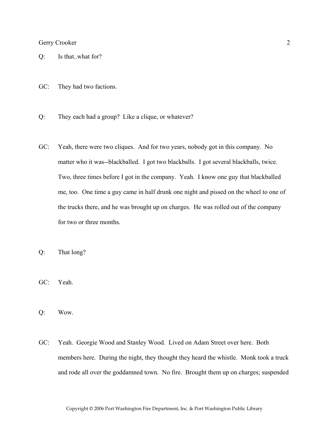- Q: Is that..what for?
- GC: They had two factions.
- Q: They each had a group? Like a clique, or whatever?
- GC: Yeah, there were two cliques. And for two years, nobody got in this company. No matter who it was--blackballed. I got two blackballs. I got several blackballs, twice. Two, three times before I got in the company. Yeah. I know one guy that blackballed me, too. One time a guy came in half drunk one night and pissed on the wheel to one of the trucks there, and he was brought up on charges. He was rolled out of the company for two or three months.
- Q: That long?
- GC: Yeah.
- Q: Wow.
- GC: Yeah. Georgie Wood and Stanley Wood. Lived on Adam Street over here. Both members here. During the night, they thought they heard the whistle. Monk took a truck and rode all over the goddamned town. No fire. Brought them up on charges; suspended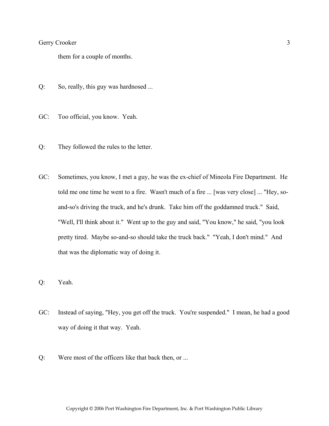them for a couple of months.

- Q: So, really, this guy was hardnosed ...
- GC: Too official, you know. Yeah.
- Q: They followed the rules to the letter.
- GC: Sometimes, you know, I met a guy, he was the ex-chief of Mineola Fire Department. He told me one time he went to a fire. Wasn't much of a fire ... [was very close] ... "Hey, soand-so's driving the truck, and he's drunk. Take him off the goddamned truck." Said, "Well, I'll think about it." Went up to the guy and said, "You know," he said, "you look pretty tired. Maybe so-and-so should take the truck back." "Yeah, I don't mind." And that was the diplomatic way of doing it.
- Q: Yeah.
- GC: Instead of saying, "Hey, you get off the truck. You're suspended." I mean, he had a good way of doing it that way. Yeah.
- Q: Were most of the officers like that back then, or ...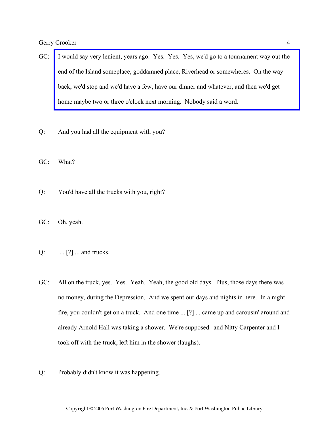- GC: [I would say very lenient, years ago. Yes. Yes. Yes, we'd go to a tournament way out the](http://www.pwfdhistory.com/trans/crookerg_trans/peco_racing07.jpg)  end of the Island someplace, goddamned place, Riverhead or somewheres. On the way back, we'd stop and we'd have a few, have our dinner and whatever, and then we'd get home maybe two or three o'clock next morning. Nobody said a word.
- Q: And you had all the equipment with you?

GC: What?

- Q: You'd have all the trucks with you, right?
- GC: Oh, yeah.
- Q: ... [?] ... and trucks.
- GC: All on the truck, yes. Yes. Yeah. Yeah, the good old days. Plus, those days there was no money, during the Depression. And we spent our days and nights in here. In a night fire, you couldn't get on a truck. And one time ... [?] ... came up and carousin' around and already Arnold Hall was taking a shower. We're supposed--and Nitty Carpenter and I took off with the truck, left him in the shower (laughs).
- Q: Probably didn't know it was happening.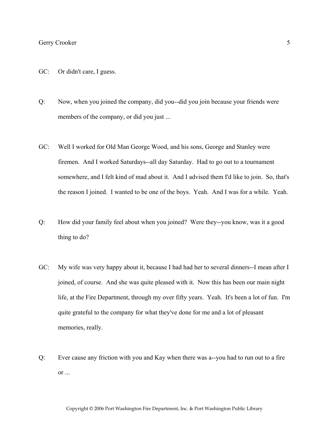- GC: Or didn't care, I guess.
- Q: Now, when you joined the company, did you--did you join because your friends were members of the company, or did you just ...
- GC: Well I worked for Old Man George Wood, and his sons, George and Stanley were firemen. And I worked Saturdays--all day Saturday. Had to go out to a tournament somewhere, and I felt kind of mad about it. And I advised them I'd like to join. So, that's the reason I joined. I wanted to be one of the boys. Yeah. And I was for a while. Yeah.
- Q: How did your family feel about when you joined? Were they--you know, was it a good thing to do?
- GC: My wife was very happy about it, because I had had her to several dinners--I mean after I joined, of course. And she was quite pleased with it. Now this has been our main night life, at the Fire Department, through my over fifty years. Yeah. It's been a lot of fun. I'm quite grateful to the company for what they've done for me and a lot of pleasant memories, really.
- Q: Ever cause any friction with you and Kay when there was a--you had to run out to a fire or ...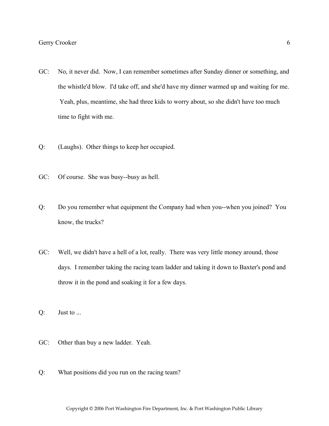- GC: No, it never did. Now, I can remember sometimes after Sunday dinner or something, and the whistle'd blow. I'd take off, and she'd have my dinner warmed up and waiting for me. Yeah, plus, meantime, she had three kids to worry about, so she didn't have too much time to fight with me.
- Q: (Laughs). Other things to keep her occupied.
- GC: Of course. She was busy--busy as hell.
- Q: Do you remember what equipment the Company had when you--when you joined? You know, the trucks?
- GC: Well, we didn't have a hell of a lot, really. There was very little money around, those days. I remember taking the racing team ladder and taking it down to Baxter's pond and throw it in the pond and soaking it for a few days.
- Q: Just to ...
- GC: Other than buy a new ladder. Yeah.
- Q: What positions did you run on the racing team?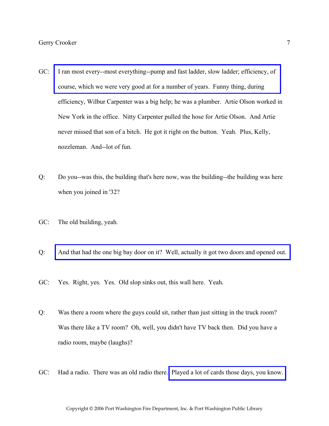- GC: [I ran most every--most everything--pump and fast ladder, slow ladder; efficiency, of](http://www.pwfdhistory.com/trans/crookerg_trans/fhh_racing006_web.jpg)  course, which we were very good at for a number of years. Funny thing, during efficiency, Wilbur Carpenter was a big help; he was a plumber. Artie Olson worked in New York in the office. Nitty Carpenter pulled the hose for Artie Olson. And Artie never missed that son of a bitch. He got it right on the button. Yeah. Plus, Kelly, nozzleman. And--lot of fun.
- Q: Do you--was this, the building that's here now, was the building--the building was here when you joined in '32?
- GC: The old building, yeah.
- Q: [And that had the one big bay door on it? Well, actually it got two doors and opened out.](http://www.pwfdhistory.com/trans/crookerg_trans/peco_bldg07.jpg)
- GC: Yes. Right, yes. Yes. Old slop sinks out, this wall here. Yeah.
- Q: Was there a room where the guys could sit, rather than just sitting in the truck room? Was there like a TV room? Oh, well, you didn't have TV back then. Did you have a radio room, maybe (laughs)?
- GC: Had a radio. There was an old radio there. [Played a lot of cards those days, you know.](http://www.pwfdhistory.com/trans/crookerg_trans/peco_members029.jpg)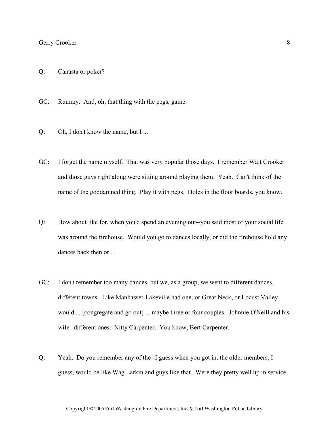- Q: Canasta or poker?
- GC: Rummy. And, oh, that thing with the pegs, game.
- Q: Oh, I don't know the name, but I ...
- GC: I forget the name myself. That was very popular those days. I remember Walt Crooker and those guys right along were sitting around playing them. Yeah. Can't think of the name of the goddamned thing. Play it with pegs. Holes in the floor boards, you know.
- Q: How about like for, when you'd spend an evening out--you said most of your social life was around the firehouse. Would you go to dances locally, or did the firehouse hold any dances back then or ...
- GC: I don't remember too many dances, but we, as a group, we went to different dances, different towns. Like Manhasset-Lakeville had one, or Great Neck, or Locust Valley would ... [congregate and go out] ... maybe three or four couples. Johnnie O'Neill and his wife--different ones. Nitty Carpenter. You know, Bert Carpenter.
- Q: Yeah. Do you remember any of the--I guess when you got in, the older members, I guess, would be like Wag Larkin and guys like that. Were they pretty well up in service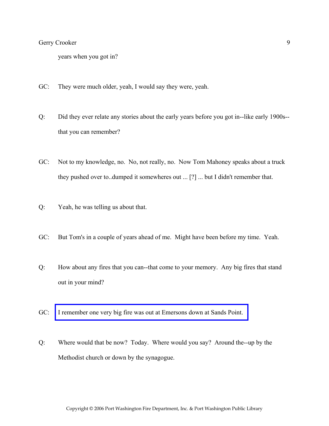years when you got in?

- GC: They were much older, yeah, I would say they were, yeah.
- Q: Did they ever relate any stories about the early years before you got in--like early 1900s- that you can remember?
- GC: Not to my knowledge, no. No, not really, no. Now Tom Mahoney speaks about a truck they pushed over to..dumped it somewheres out ... [?] ... but I didn't remember that.
- Q: Yeah, he was telling us about that.
- GC: But Tom's in a couple of years ahead of me. Might have been before my time. Yeah.
- Q: How about any fires that you can--that come to your memory. Any big fires that stand out in your mind?
- GC: [I remember one very big fire was out at Emersons down at Sands Point.](http://www.pwfdhistory.com/trans/crookerg_trans/news_hewitt_1942_emersonfire.pdf)
- Q: Where would that be now? Today. Where would you say? Around the--up by the Methodist church or down by the synagogue.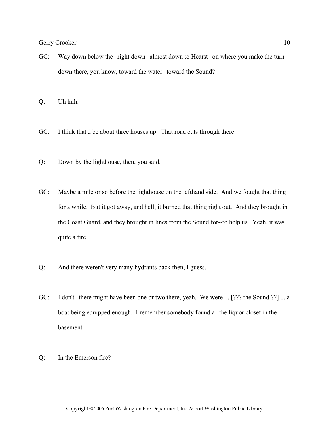GC: Way down below the--right down--almost down to Hearst--on where you make the turn down there, you know, toward the water--toward the Sound?

Q: Uh huh.

- GC: I think that'd be about three houses up. That road cuts through there.
- Q: Down by the lighthouse, then, you said.
- GC: Maybe a mile or so before the lighthouse on the lefthand side. And we fought that thing for a while. But it got away, and hell, it burned that thing right out. And they brought in the Coast Guard, and they brought in lines from the Sound for--to help us. Yeah, it was quite a fire.
- Q: And there weren't very many hydrants back then, I guess.
- GC: I don't--there might have been one or two there, yeah. We were ... [??? the Sound ??] ... a boat being equipped enough. I remember somebody found a--the liquor closet in the basement.
- Q: In the Emerson fire?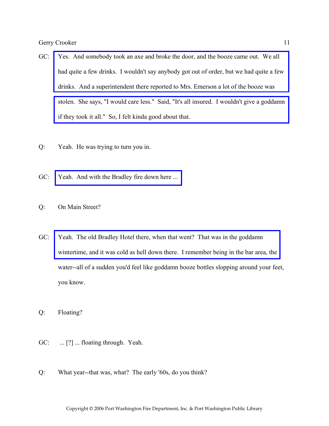- GC: Yes. And somebody took an axe and broke the door, and the booze came out. We all [had quite a few drinks. I wouldn't say anybody got out of order, but we had quite a few](http://www.pwfdhistory.com/trans/crookerg_trans/news_hewitt_1942-13_web.jpg)  drinks. And a superintendent there reported to Mrs. Emerson a lot of the booze was [stolen. She says, "I would care less." Said, "It's all insured. I wouldn't give a goddamn](http://www.pwfdhistory.com/trans/crookerg_trans/news_hewitt_1942-15b_web.jpg)  if they took it all." So, I felt kinda good about that.
- Q: Yeah. He was trying to turn you in.
- GC: Yeah. And with the Bradley fire down here ...
- Q: On Main Street?
- GC: Yeah. The old Bradley Hotel there, when that went? That was in the goddamn [wintertime, and it was cold as hell down there. I remember being in the bar area, the](http://www.pwfdhistory.com/trans/crookerg_trans/peco_fires002.jpg)  water--all of a sudden you'd feel like goddamn booze bottles slopping around your feet, you know.
- Q: Floating?
- GC: ... [?] ... floating through. Yeah.
- Q: What year--that was, what? The early '60s, do you think?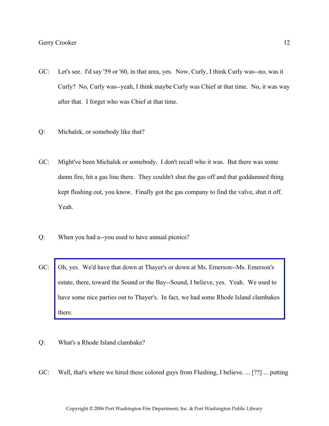- GC: Let's see. I'd say '59 or '60, in that area, yes. Now, Curly, I think Curly was--no, was it Curly? No, Curly was--yeah, I think maybe Curly was Chief at that time. No, it was way after that. I forget who was Chief at that time.
- Q: Michalek, or somebody like that?
- GC: Might've been Michalek or somebody. I don't recall who it was. But there was some damn fire, hit a gas line there. They couldn't shut the gas off and that goddamned thing kept flushing out, you know. Finally got the gas company to find the valve, shut it off. Yeah.
- Q: When you had a--you used to have annual picnics?
- GC: Oh, yes. We'd have that down at Thayer's or down at Ms. Emerson--Ms. Emerson's estate, there, toward the Sound or the Bay--Sound, I believe, yes. Yeah. We used to [have some nice parties out to Thayer's. In fact, we had some Rhode Island clambakes](http://www.pwfdhistory.com/trans/crookerg_trans/news_hewitt_1937-02a_web.jpg)  there.
- Q: What's a Rhode Island clambake?
- GC: Well, that's where we hired these colored guys from Flushing, I believe. ... [??] ... putting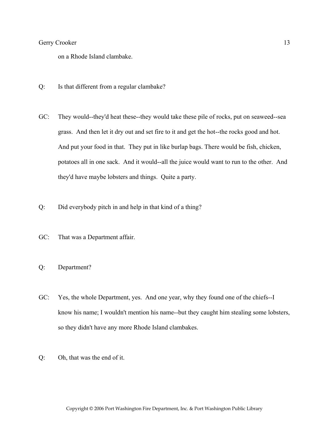on a Rhode Island clambake.

- Q: Is that different from a regular clambake?
- GC: They would--they'd heat these--they would take these pile of rocks, put on seaweed--sea grass. And then let it dry out and set fire to it and get the hot--the rocks good and hot. And put your food in that. They put in like burlap bags. There would be fish, chicken, potatoes all in one sack. And it would--all the juice would want to run to the other. And they'd have maybe lobsters and things. Quite a party.
- Q: Did everybody pitch in and help in that kind of a thing?
- GC: That was a Department affair.
- Q: Department?
- GC: Yes, the whole Department, yes. And one year, why they found one of the chiefs--I know his name; I wouldn't mention his name--but they caught him stealing some lobsters, so they didn't have any more Rhode Island clambakes.
- Q: Oh, that was the end of it.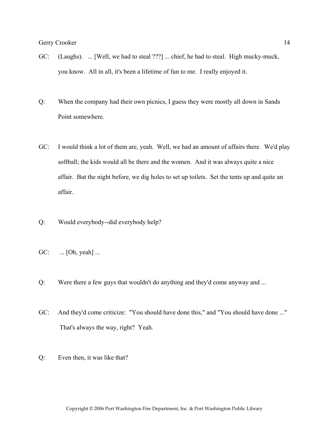- GC: (Laughs). ... [Well, we had to steal ???] ... chief, he had to steal. High mucky-muck, you know. All in all, it's been a lifetime of fun to me. I really enjoyed it.
- Q: When the company had their own picnics, I guess they were mostly all down in Sands Point somewhere.
- GC: I would think a lot of them are, yeah. Well, we had an amount of affairs there. We'd play softball; the kids would all be there and the women. And it was always quite a nice affair. But the night before, we dig holes to set up toilets. Set the tents up and quite an affair.
- Q: Would everybody--did everybody help?
- GC: ... [Oh, yeah] ...
- Q: Were there a few guys that wouldn't do anything and they'd come anyway and ...
- GC: And they'd come criticize: "You should have done this," and "You should have done ..." That's always the way, right? Yeah.
- Q: Even then, it was like that?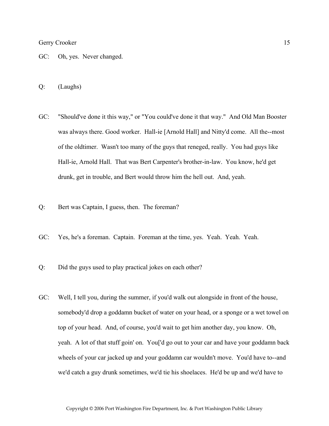- GC: Oh, yes. Never changed.
- Q: (Laughs)
- GC: "Should've done it this way," or "You could've done it that way." And Old Man Booster was always there. Good worker. Hall-ie [Arnold Hall] and Nitty'd come. All the--most of the oldtimer. Wasn't too many of the guys that reneged, really. You had guys like Hall-ie, Arnold Hall. That was Bert Carpenter's brother-in-law. You know, he'd get drunk, get in trouble, and Bert would throw him the hell out. And, yeah.
- Q: Bert was Captain, I guess, then. The foreman?
- GC: Yes, he's a foreman. Captain. Foreman at the time, yes. Yeah. Yeah. Yeah.
- Q: Did the guys used to play practical jokes on each other?
- GC: Well, I tell you, during the summer, if you'd walk out alongside in front of the house, somebody'd drop a goddamn bucket of water on your head, or a sponge or a wet towel on top of your head. And, of course, you'd wait to get him another day, you know. Oh, yeah. A lot of that stuff goin' on. You['d go out to your car and have your goddamn back wheels of your car jacked up and your goddamn car wouldn't move. You'd have to--and we'd catch a guy drunk sometimes, we'd tie his shoelaces. He'd be up and we'd have to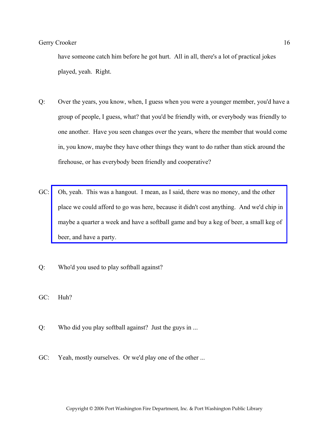have someone catch him before he got hurt. All in all, there's a lot of practical jokes played, yeah. Right.

- Q: Over the years, you know, when, I guess when you were a younger member, you'd have a group of people, I guess, what? that you'd be friendly with, or everybody was friendly to one another. Have you seen changes over the years, where the member that would come in, you know, maybe they have other things they want to do rather than stick around the firehouse, or has everybody been friendly and cooperative?
- GC: Oh, yeah. This was a hangout. I mean, as I said, there was no money, and the other [place we could afford to go was here, because it didn't cost anything. And we'd chip in](http://www.pwfdhistory.com/trans/crookerg_trans/peco_softball001.jpg)  maybe a quarter a week and have a softball game and buy a keg of beer, a small keg of beer, and have a party.
- Q: Who'd you used to play softball against?
- GC: Huh?
- Q: Who did you play softball against? Just the guys in ...
- GC: Yeah, mostly ourselves. Or we'd play one of the other ...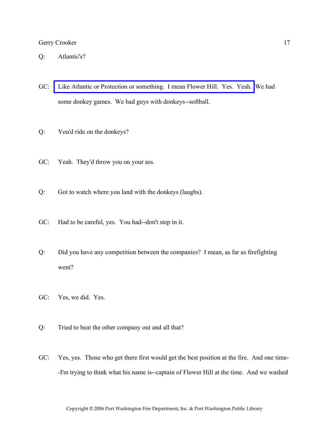- Q: Atlantic's?
- GC: [Like Atlantic or Protection or something. I mean Flower Hill. Yes. Yeah.](http://www.pwfdhistory.com/trans/crookerg_trans/pwfd_softball007.pdf) We had some donkey games. We had guys with donkeys--softball.
- Q: You'd ride on the donkeys?
- GC: Yeah. They'd throw you on your ass.
- Q: Got to watch where you land with the donkeys (laughs).
- GC: Had to be careful, yes. You had--don't step in it.
- Q: Did you have any competition between the companies? I mean, as far as firefighting went?
- GC: Yes, we did. Yes.
- Q: Tried to beat the other company out and all that?
- GC: Yes, yes. Those who get there first would get the best position at the fire. And one time- -I'm trying to think what his name is--captain of Flower Hill at the time. And we washed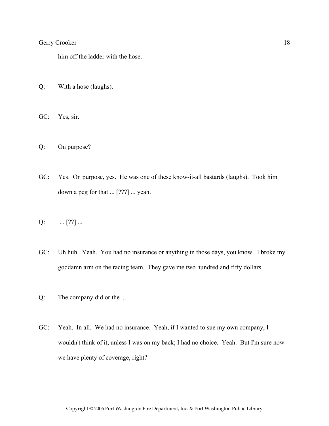him off the ladder with the hose.

- Q: With a hose (laughs).
- GC: Yes, sir.
- Q: On purpose?
- GC: Yes. On purpose, yes. He was one of these know-it-all bastards (laughs). Took him down a peg for that ... [???] ... yeah.
- $Q: \qquad \dots [??] \dots$
- GC: Uh huh. Yeah. You had no insurance or anything in those days, you know. I broke my goddamn arm on the racing team. They gave me two hundred and fifty dollars.
- Q: The company did or the ...
- GC: Yeah. In all. We had no insurance. Yeah, if I wanted to sue my own company, I wouldn't think of it, unless I was on my back; I had no choice. Yeah. But I'm sure now we have plenty of coverage, right?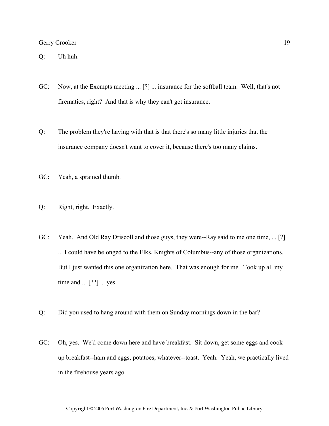Q: Uh huh.

- GC: Now, at the Exempts meeting ... [?] ... insurance for the softball team. Well, that's not firematics, right? And that is why they can't get insurance.
- Q: The problem they're having with that is that there's so many little injuries that the insurance company doesn't want to cover it, because there's too many claims.
- GC: Yeah, a sprained thumb.
- Q: Right, right. Exactly.
- GC: Yeah. And Old Ray Driscoll and those guys, they were--Ray said to me one time, ... [?] ... I could have belonged to the Elks, Knights of Columbus--any of those organizations. But I just wanted this one organization here. That was enough for me. Took up all my time and ... [??] ... yes.
- Q: Did you used to hang around with them on Sunday mornings down in the bar?
- GC: Oh, yes. We'd come down here and have breakfast. Sit down, get some eggs and cook up breakfast--ham and eggs, potatoes, whatever--toast. Yeah. Yeah, we practically lived in the firehouse years ago.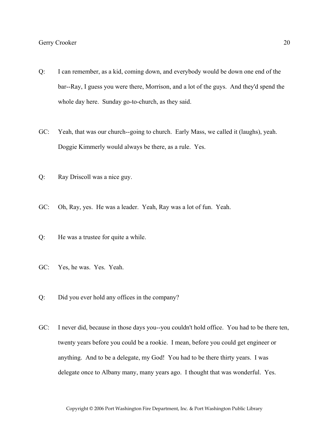- Q: I can remember, as a kid, coming down, and everybody would be down one end of the bar--Ray, I guess you were there, Morrison, and a lot of the guys. And they'd spend the whole day here. Sunday go-to-church, as they said.
- GC: Yeah, that was our church--going to church. Early Mass, we called it (laughs), yeah. Doggie Kimmerly would always be there, as a rule. Yes.
- Q: Ray Driscoll was a nice guy.
- GC: Oh, Ray, yes. He was a leader. Yeah, Ray was a lot of fun. Yeah.
- Q: He was a trustee for quite a while.
- GC: Yes, he was. Yes. Yeah.
- Q: Did you ever hold any offices in the company?
- GC: I never did, because in those days you--you couldn't hold office. You had to be there ten, twenty years before you could be a rookie. I mean, before you could get engineer or anything. And to be a delegate, my God! You had to be there thirty years. I was delegate once to Albany many, many years ago. I thought that was wonderful. Yes.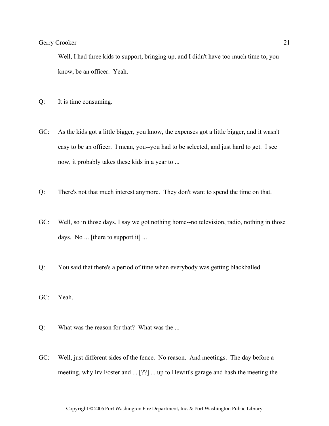Well, I had three kids to support, bringing up, and I didn't have too much time to, you know, be an officer. Yeah.

- Q: It is time consuming.
- GC: As the kids got a little bigger, you know, the expenses got a little bigger, and it wasn't easy to be an officer. I mean, you--you had to be selected, and just hard to get. I see now, it probably takes these kids in a year to ...
- Q: There's not that much interest anymore. They don't want to spend the time on that.
- GC: Well, so in those days, I say we got nothing home--no television, radio, nothing in those days. No ... [there to support it] ...
- Q: You said that there's a period of time when everybody was getting blackballed.
- GC: Yeah.
- Q: What was the reason for that? What was the ...
- GC: Well, just different sides of the fence. No reason. And meetings. The day before a meeting, why Irv Foster and ... [??] ... up to Hewitt's garage and hash the meeting the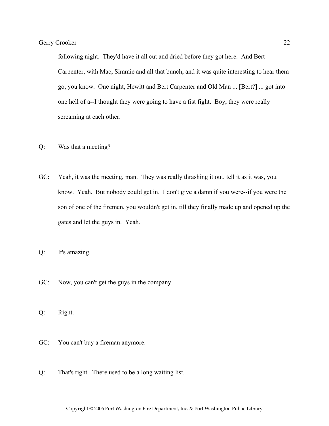following night. They'd have it all cut and dried before they got here. And Bert Carpenter, with Mac, Simmie and all that bunch, and it was quite interesting to hear them go, you know. One night, Hewitt and Bert Carpenter and Old Man ... [Bert?] ... got into one hell of a--I thought they were going to have a fist fight. Boy, they were really screaming at each other.

- Q: Was that a meeting?
- GC: Yeah, it was the meeting, man. They was really thrashing it out, tell it as it was, you know. Yeah. But nobody could get in. I don't give a damn if you were--if you were the son of one of the firemen, you wouldn't get in, till they finally made up and opened up the gates and let the guys in. Yeah.
- Q: It's amazing.
- GC: Now, you can't get the guys in the company.
- Q: Right.
- GC: You can't buy a fireman anymore.
- Q: That's right. There used to be a long waiting list.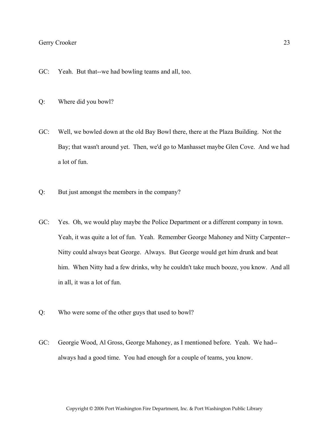- GC: Yeah. But that--we had bowling teams and all, too.
- Q: Where did you bowl?
- GC: Well, we bowled down at the old Bay Bowl there, there at the Plaza Building. Not the Bay; that wasn't around yet. Then, we'd go to Manhasset maybe Glen Cove. And we had a lot of fun.
- Q: But just amongst the members in the company?
- GC: Yes. Oh, we would play maybe the Police Department or a different company in town. Yeah, it was quite a lot of fun. Yeah. Remember George Mahoney and Nitty Carpenter-- Nitty could always beat George. Always. But George would get him drunk and beat him. When Nitty had a few drinks, why he couldn't take much booze, you know. And all in all, it was a lot of fun.
- Q: Who were some of the other guys that used to bowl?
- GC: Georgie Wood, Al Gross, George Mahoney, as I mentioned before. Yeah. We had- always had a good time. You had enough for a couple of teams, you know.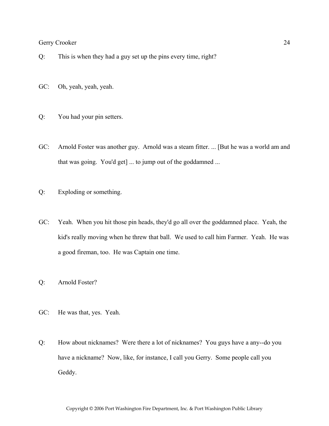- Q: This is when they had a guy set up the pins every time, right?
- GC: Oh, yeah, yeah, yeah.
- Q: You had your pin setters.
- GC: Arnold Foster was another guy. Arnold was a steam fitter. ... [But he was a world am and that was going. You'd get] ... to jump out of the goddamned ...
- Q: Exploding or something.
- GC: Yeah. When you hit those pin heads, they'd go all over the goddamned place. Yeah, the kid's really moving when he threw that ball. We used to call him Farmer. Yeah. He was a good fireman, too. He was Captain one time.
- Q: Arnold Foster?
- GC: He was that, yes. Yeah.
- Q: How about nicknames? Were there a lot of nicknames? You guys have a any--do you have a nickname? Now, like, for instance, I call you Gerry. Some people call you Geddy.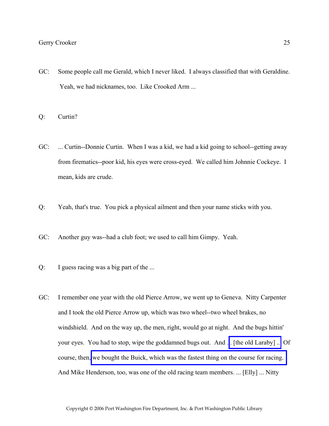- GC: Some people call me Gerald, which I never liked. I always classified that with Geraldine. Yeah, we had nicknames, too. Like Crooked Arm ...
- Q: Curtin?
- GC: ... Curtin--Donnie Curtin. When I was a kid, we had a kid going to school--getting away from firematics--poor kid, his eyes were cross-eyed. We called him Johnnie Cockeye. I mean, kids are crude.
- Q: Yeah, that's true. You pick a physical ailment and then your name sticks with you.
- GC: Another guy was--had a club foot; we used to call him Gimpy. Yeah.
- Q: I guess racing was a big part of the ...
- GC: I remember one year with the old Pierce Arrow, we went up to Geneva. Nitty Carpenter and I took the old Pierce Arrow up, which was two wheel--two wheel brakes, no windshield. And on the way up, the men, right, would go at night. And the bugs hittin' your eyes. You had to stop, wipe the goddamned bugs out. And .[.. \[the old Laraby\] ...](http://www.pwfdhistory.com/trans/crookerg_trans/peco_trucks045.jpg) Of course, then, [we bought the Buick, which was the fastest thing on the course for racing.](http://www.pwfdhistory.com/trans/crookerg_trans/peco_trucks041.jpg)  And Mike Henderson, too, was one of the old racing team members. ... [Elly] ... Nitty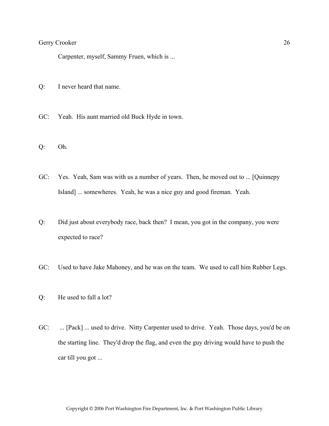Carpenter, myself, Sammy Fruen, which is ...

- Q: I never heard that name.
- GC: Yeah. His aunt married old Buck Hyde in town.
- Q: Oh.
- GC: Yes. Yeah, Sam was with us a number of years. Then, he moved out to ... [Quinnepy Island] ... somewheres. Yeah, he was a nice guy and good fireman. Yeah.
- Q: Did just about everybody race, back then? I mean, you got in the company, you were expected to race?
- GC: Used to have Jake Mahoney, and he was on the team. We used to call him Rubber Legs.
- Q: He used to fall a lot?
- GC: ... [Pack] ... used to drive. Nitty Carpenter used to drive. Yeah. Those days, you'd be on the starting line. They'd drop the flag, and even the guy driving would have to push the car till you got ...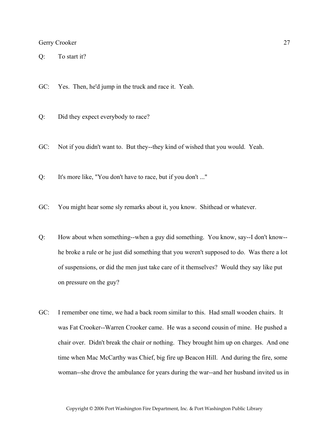Q: To start it?

GC: Yes. Then, he'd jump in the truck and race it. Yeah.

- Q: Did they expect everybody to race?
- GC: Not if you didn't want to. But they--they kind of wished that you would. Yeah.
- Q: It's more like, "You don't have to race, but if you don't ..."
- GC: You might hear some sly remarks about it, you know. Shithead or whatever.
- Q: How about when something--when a guy did something. You know, say--I don't know- he broke a rule or he just did something that you weren't supposed to do. Was there a lot of suspensions, or did the men just take care of it themselves? Would they say like put on pressure on the guy?
- GC: I remember one time, we had a back room similar to this. Had small wooden chairs. It was Fat Crooker--Warren Crooker came. He was a second cousin of mine. He pushed a chair over. Didn't break the chair or nothing. They brought him up on charges. And one time when Mac McCarthy was Chief, big fire up Beacon Hill. And during the fire, some woman--she drove the ambulance for years during the war--and her husband invited us in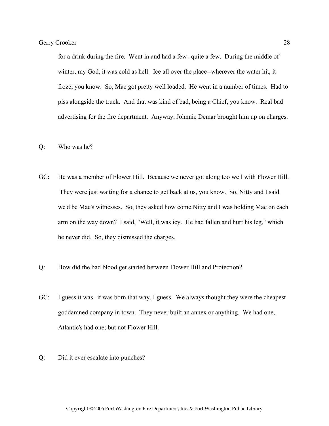for a drink during the fire. Went in and had a few--quite a few. During the middle of winter, my God, it was cold as hell. Ice all over the place--wherever the water hit, it froze, you know. So, Mac got pretty well loaded. He went in a number of times. Had to piss alongside the truck. And that was kind of bad, being a Chief, you know. Real bad advertising for the fire department. Anyway, Johnnie Demar brought him up on charges.

- Q: Who was he?
- GC: He was a member of Flower Hill. Because we never got along too well with Flower Hill. They were just waiting for a chance to get back at us, you know. So, Nitty and I said we'd be Mac's witnesses. So, they asked how come Nitty and I was holding Mac on each arm on the way down? I said, "Well, it was icy. He had fallen and hurt his leg," which he never did. So, they dismissed the charges.
- Q: How did the bad blood get started between Flower Hill and Protection?
- GC: I guess it was--it was born that way, I guess. We always thought they were the cheapest goddamned company in town. They never built an annex or anything. We had one, Atlantic's had one; but not Flower Hill.
- Q: Did it ever escalate into punches?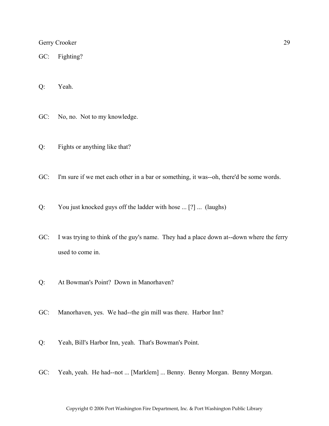GC: Fighting?

Q: Yeah.

GC: No, no. Not to my knowledge.

- Q: Fights or anything like that?
- GC: I'm sure if we met each other in a bar or something, it was--oh, there'd be some words.
- Q: You just knocked guys off the ladder with hose ... [?] ... (laughs)
- GC: I was trying to think of the guy's name. They had a place down at--down where the ferry used to come in.
- Q: At Bowman's Point? Down in Manorhaven?
- GC: Manorhaven, yes. We had--the gin mill was there. Harbor Inn?
- Q: Yeah, Bill's Harbor Inn, yeah. That's Bowman's Point.
- GC: Yeah, yeah. He had--not ... [Marklem] ... Benny. Benny Morgan. Benny Morgan.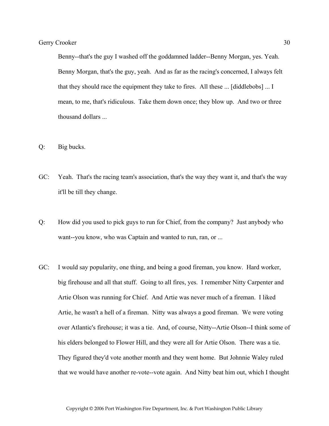Benny--that's the guy I washed off the goddamned ladder--Benny Morgan, yes. Yeah. Benny Morgan, that's the guy, yeah. And as far as the racing's concerned, I always felt that they should race the equipment they take to fires. All these ... [diddlebobs] ... I mean, to me, that's ridiculous. Take them down once; they blow up. And two or three thousand dollars ...

- Q: Big bucks.
- GC: Yeah. That's the racing team's association, that's the way they want it, and that's the way it'll be till they change.
- Q: How did you used to pick guys to run for Chief, from the company? Just anybody who want--you know, who was Captain and wanted to run, ran, or ...
- GC: I would say popularity, one thing, and being a good fireman, you know. Hard worker, big firehouse and all that stuff. Going to all fires, yes. I remember Nitty Carpenter and Artie Olson was running for Chief. And Artie was never much of a fireman. I liked Artie, he wasn't a hell of a fireman. Nitty was always a good fireman. We were voting over Atlantic's firehouse; it was a tie. And, of course, Nitty--Artie Olson--I think some of his elders belonged to Flower Hill, and they were all for Artie Olson. There was a tie. They figured they'd vote another month and they went home. But Johnnie Waley ruled that we would have another re-vote--vote again. And Nitty beat him out, which I thought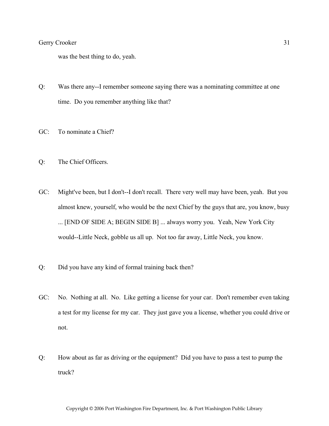was the best thing to do, yeah.

- Q: Was there any--I remember someone saying there was a nominating committee at one time. Do you remember anything like that?
- GC: To nominate a Chief?
- Q: The Chief Officers.
- GC: Might've been, but I don't--I don't recall. There very well may have been, yeah. But you almost knew, yourself, who would be the next Chief by the guys that are, you know, busy ... [END OF SIDE A; BEGIN SIDE B] ... always worry you. Yeah, New York City would--Little Neck, gobble us all up. Not too far away, Little Neck, you know.
- Q: Did you have any kind of formal training back then?
- GC: No. Nothing at all. No. Like getting a license for your car. Don't remember even taking a test for my license for my car. They just gave you a license, whether you could drive or not.
- Q: How about as far as driving or the equipment? Did you have to pass a test to pump the truck?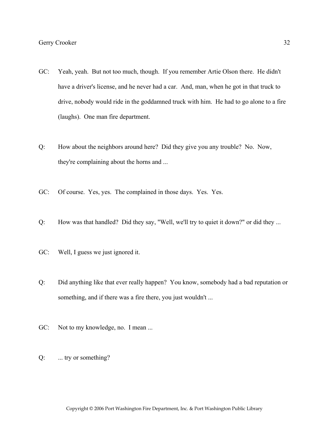- GC: Yeah, yeah. But not too much, though. If you remember Artie Olson there. He didn't have a driver's license, and he never had a car. And, man, when he got in that truck to drive, nobody would ride in the goddamned truck with him. He had to go alone to a fire (laughs). One man fire department.
- Q: How about the neighbors around here? Did they give you any trouble? No. Now, they're complaining about the horns and ...
- GC: Of course. Yes, yes. The complained in those days. Yes. Yes.
- Q: How was that handled? Did they say, "Well, we'll try to quiet it down?" or did they ...
- GC: Well, I guess we just ignored it.
- Q: Did anything like that ever really happen? You know, somebody had a bad reputation or something, and if there was a fire there, you just wouldn't ...
- GC: Not to my knowledge, no. I mean ...
- Q: ... try or something?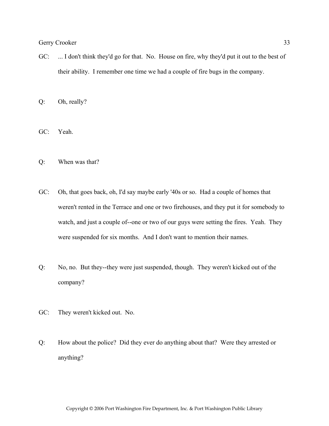GC: ... I don't think they'd go for that. No. House on fire, why they'd put it out to the best of their ability. I remember one time we had a couple of fire bugs in the company.

Q: Oh, really?

GC: Yeah.

- Q: When was that?
- GC: Oh, that goes back, oh, I'd say maybe early '40s or so. Had a couple of homes that weren't rented in the Terrace and one or two firehouses, and they put it for somebody to watch, and just a couple of--one or two of our guys were setting the fires. Yeah. They were suspended for six months. And I don't want to mention their names.
- Q: No, no. But they--they were just suspended, though. They weren't kicked out of the company?
- GC: They weren't kicked out. No.
- Q: How about the police? Did they ever do anything about that? Were they arrested or anything?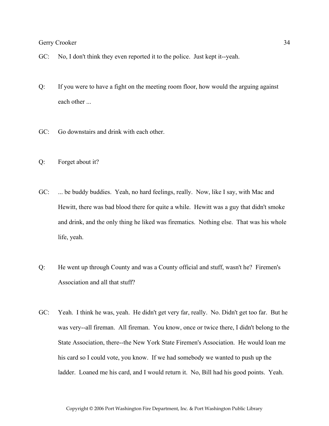- GC: No, I don't think they even reported it to the police. Just kept it--yeah.
- Q: If you were to have a fight on the meeting room floor, how would the arguing against each other ...
- GC: Go downstairs and drink with each other.
- Q: Forget about it?
- GC: ... be buddy buddies. Yeah, no hard feelings, really. Now, like I say, with Mac and Hewitt, there was bad blood there for quite a while. Hewitt was a guy that didn't smoke and drink, and the only thing he liked was firematics. Nothing else. That was his whole life, yeah.
- Q: He went up through County and was a County official and stuff, wasn't he? Firemen's Association and all that stuff?
- GC: Yeah. I think he was, yeah. He didn't get very far, really. No. Didn't get too far. But he was very--all fireman. All fireman. You know, once or twice there, I didn't belong to the State Association, there--the New York State Firemen's Association. He would loan me his card so I could vote, you know. If we had somebody we wanted to push up the ladder. Loaned me his card, and I would return it. No, Bill had his good points. Yeah.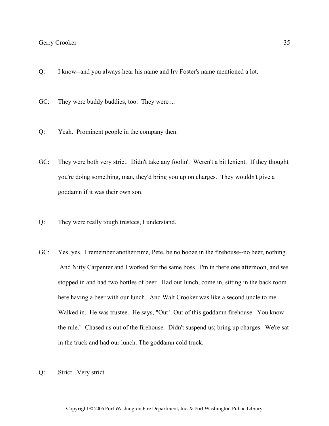- Q: I know--and you always hear his name and Irv Foster's name mentioned a lot.
- GC: They were buddy buddies, too. They were ...
- Q: Yeah. Prominent people in the company then.
- GC: They were both very strict. Didn't take any foolin'. Weren't a bit lenient. If they thought you're doing something, man, they'd bring you up on charges. They wouldn't give a goddamn if it was their own son.
- Q: They were really tough trustees, I understand.
- GC: Yes, yes. I remember another time, Pete, be no booze in the firehouse--no beer, nothing. And Nitty Carpenter and I worked for the same boss. I'm in there one afternoon, and we stopped in and had two bottles of beer. Had our lunch, come in, sitting in the back room here having a beer with our lunch. And Walt Crooker was like a second uncle to me. Walked in. He was trustee. He says, "Out! Out of this goddamn firehouse. You know the rule." Chased us out of the firehouse. Didn't suspend us; bring up charges. We're sat in the truck and had our lunch. The goddamn cold truck.
- Q: Strict. Very strict.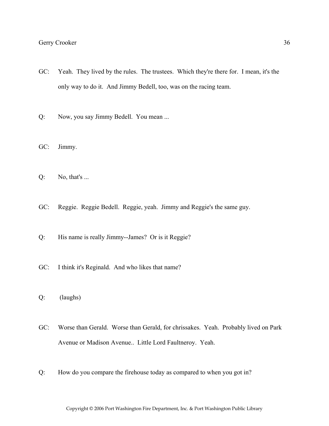- GC: Yeah. They lived by the rules. The trustees. Which they're there for. I mean, it's the only way to do it. And Jimmy Bedell, too, was on the racing team.
- Q: Now, you say Jimmy Bedell. You mean ...
- GC: Jimmy.
- $Q:$  No, that's ...
- GC: Reggie. Reggie Bedell. Reggie, yeah. Jimmy and Reggie's the same guy.
- Q: His name is really Jimmy--James? Or is it Reggie?
- GC: I think it's Reginald. And who likes that name?
- Q: (laughs)
- GC: Worse than Gerald. Worse than Gerald, for chrissakes. Yeah. Probably lived on Park Avenue or Madison Avenue.. Little Lord Faultneroy. Yeah.
- Q: How do you compare the firehouse today as compared to when you got in?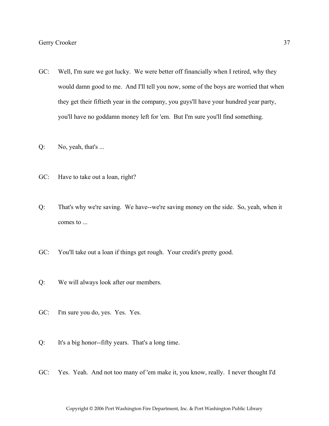- GC: Well, I'm sure we got lucky. We were better off financially when I retired, why they would damn good to me. And I'll tell you now, some of the boys are worried that when they get their fiftieth year in the company, you guys'll have your hundred year party, you'll have no goddamn money left for 'em. But I'm sure you'll find something.
- Q: No, yeah, that's ...
- GC: Have to take out a loan, right?
- Q: That's why we're saving. We have--we're saving money on the side. So, yeah, when it comes to ...
- GC: You'll take out a loan if things get rough. Your credit's pretty good.
- Q: We will always look after our members.
- GC: I'm sure you do, yes. Yes. Yes.
- Q: It's a big honor--fifty years. That's a long time.
- GC: Yes. Yeah. And not too many of 'em make it, you know, really. I never thought I'd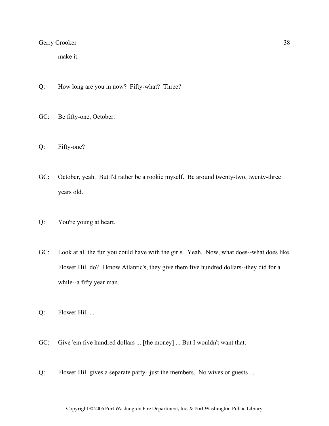make it.

- Q: How long are you in now? Fifty-what? Three?
- GC: Be fifty-one, October.
- Q: Fifty-one?
- GC: October, yeah. But I'd rather be a rookie myself. Be around twenty-two, twenty-three years old.
- Q: You're young at heart.
- GC: Look at all the fun you could have with the girls. Yeah. Now, what does--what does like Flower Hill do? I know Atlantic's, they give them five hundred dollars--they did for a while--a fifty year man.
- Q: Flower Hill ...
- GC: Give 'em five hundred dollars ... [the money] ... But I wouldn't want that.
- Q: Flower Hill gives a separate party--just the members. No wives or guests ...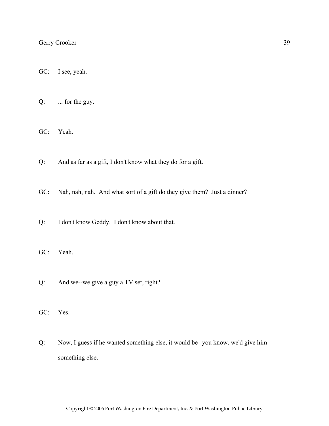GC: I see, yeah.

Q: ... for the guy.

GC: Yeah.

Q: And as far as a gift, I don't know what they do for a gift.

GC: Nah, nah, nah. And what sort of a gift do they give them? Just a dinner?

- Q: I don't know Geddy. I don't know about that.
- GC: Yeah.
- Q: And we--we give a guy a TV set, right?
- GC: Yes.
- Q: Now, I guess if he wanted something else, it would be--you know, we'd give him something else.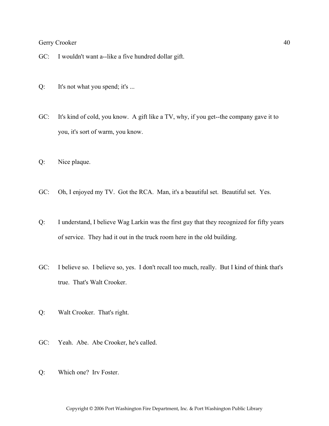GC: I wouldn't want a--like a five hundred dollar gift.

Q: It's not what you spend; it's ...

GC: It's kind of cold, you know. A gift like a TV, why, if you get--the company gave it to you, it's sort of warm, you know.

- Q: Nice plaque.
- GC: Oh, I enjoyed my TV. Got the RCA. Man, it's a beautiful set. Beautiful set. Yes.
- Q: I understand, I believe Wag Larkin was the first guy that they recognized for fifty years of service. They had it out in the truck room here in the old building.
- GC: I believe so. I believe so, yes. I don't recall too much, really. But I kind of think that's true. That's Walt Crooker.
- Q: Walt Crooker. That's right.
- GC: Yeah. Abe. Abe Crooker, he's called.
- Q: Which one? Irv Foster.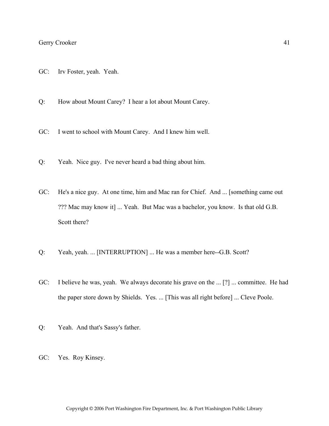- GC: Irv Foster, yeah. Yeah.
- Q: How about Mount Carey? I hear a lot about Mount Carey.
- GC: I went to school with Mount Carey. And I knew him well.
- Q: Yeah. Nice guy. I've never heard a bad thing about him.
- GC: He's a nice guy. At one time, him and Mac ran for Chief. And ... [something came out ??? Mac may know it] ... Yeah. But Mac was a bachelor, you know. Is that old G.B. Scott there?
- Q: Yeah, yeah. ... [INTERRUPTION] ... He was a member here--G.B. Scott?
- GC: I believe he was, yeah. We always decorate his grave on the ... [?] ... committee. He had the paper store down by Shields. Yes. ... [This was all right before] ... Cleve Poole.
- Q: Yeah. And that's Sassy's father.
- GC: Yes. Roy Kinsey.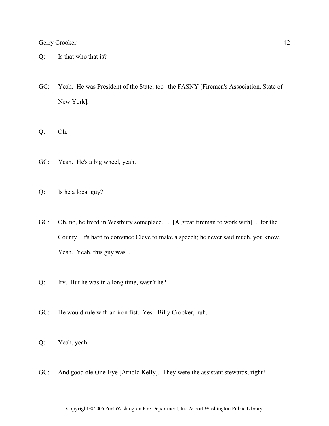- Q: Is that who that is?
- GC: Yeah. He was President of the State, too--the FASNY [Firemen's Association, State of New York].
- Q: Oh.
- GC: Yeah. He's a big wheel, yeah.
- Q: Is he a local guy?
- GC: Oh, no, he lived in Westbury someplace. ... [A great fireman to work with] ... for the County. It's hard to convince Cleve to make a speech; he never said much, you know. Yeah. Yeah, this guy was ...
- Q: Irv. But he was in a long time, wasn't he?
- GC: He would rule with an iron fist. Yes. Billy Crooker, huh.
- Q: Yeah, yeah.
- GC: And good ole One-Eye [Arnold Kelly]. They were the assistant stewards, right?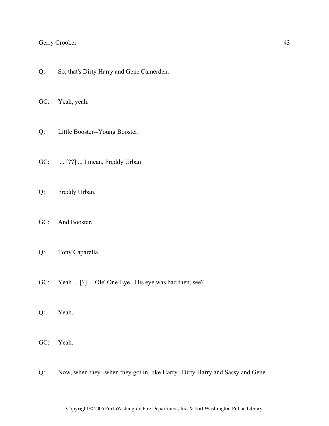Q: So, that's Dirty Harry and Gene Camerden.

GC: Yeah, yeah.

- Q: Little Booster--Young Booster.
- GC: ... [??] ... I mean, Freddy Urban
- Q: Freddy Urban.
- GC: And Booster.
- Q: Tony Caparella.
- GC: Yeah ... [?] ... Ole' One-Eye. His eye was bad then, see?
- Q: Yeah.
- GC: Yeah.
- Q: Now, when they--when they got in, like Harry--Dirty Harry and Sassy and Gene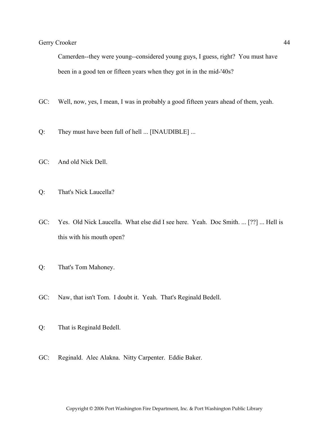Camerden--they were young--considered young guys, I guess, right? You must have been in a good ten or fifteen years when they got in in the mid-'40s?

- GC: Well, now, yes, I mean, I was in probably a good fifteen years ahead of them, yeah.
- Q: They must have been full of hell ... [INAUDIBLE] ...
- GC: And old Nick Dell.
- Q: That's Nick Laucella?
- GC: Yes. Old Nick Laucella. What else did I see here. Yeah. Doc Smith. ... [??] ... Hell is this with his mouth open?
- Q: That's Tom Mahoney.
- GC: Naw, that isn't Tom. I doubt it. Yeah. That's Reginald Bedell.
- Q: That is Reginald Bedell.
- GC: Reginald. Alec Alakna. Nitty Carpenter. Eddie Baker.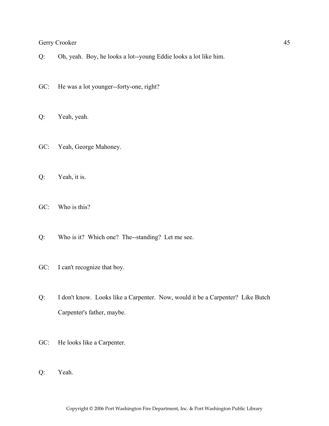- Q: Oh, yeah. Boy, he looks a lot--young Eddie looks a lot like him.
- GC: He was a lot younger--forty-one, right?
- Q: Yeah, yeah.
- GC: Yeah, George Mahoney.
- Q: Yeah, it is.
- GC: Who is this?
- Q: Who is it? Which one? The--standing? Let me see.
- GC: I can't recognize that boy.
- Q: I don't know. Looks like a Carpenter. Now, would it be a Carpenter? Like Butch Carpenter's father, maybe.
- GC: He looks like a Carpenter.
- Q: Yeah.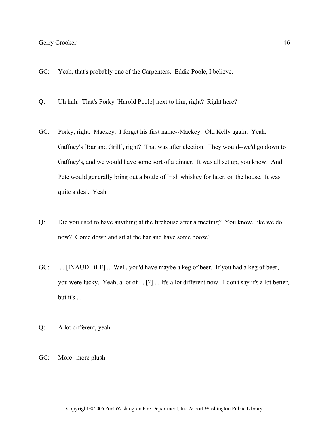- GC: Yeah, that's probably one of the Carpenters. Eddie Poole, I believe.
- Q: Uh huh. That's Porky [Harold Poole] next to him, right? Right here?
- GC: Porky, right. Mackey. I forget his first name--Mackey. Old Kelly again. Yeah. Gaffney's [Bar and Grill], right? That was after election. They would--we'd go down to Gaffney's, and we would have some sort of a dinner. It was all set up, you know. And Pete would generally bring out a bottle of Irish whiskey for later, on the house. It was quite a deal. Yeah.
- Q: Did you used to have anything at the firehouse after a meeting? You know, like we do now? Come down and sit at the bar and have some booze?
- GC: ... [INAUDIBLE] ... Well, you'd have maybe a keg of beer. If you had a keg of beer, you were lucky. Yeah, a lot of ... [?] ... It's a lot different now. I don't say it's a lot better, but it's ...
- Q: A lot different, yeah.
- GC: More--more plush.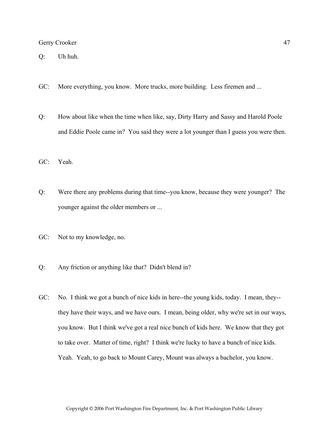Q: Uh huh.

- GC: More everything, you know. More trucks, more building. Less firemen and ...
- Q: How about like when the time when like, say, Dirty Harry and Sassy and Harold Poole and Eddie Poole came in? You said they were a lot younger than I guess you were then.
- GC: Yeah.
- Q: Were there any problems during that time--you know, because they were younger? The younger against the older members or ...
- GC: Not to my knowledge, no.
- Q: Any friction or anything like that? Didn't blend in?
- GC: No. I think we got a bunch of nice kids in here--the young kids, today. I mean, they- they have their ways, and we have ours. I mean, being older, why we're set in our ways, you know. But I think we've got a real nice bunch of kids here. We know that they got to take over. Matter of time, right? I think we're lucky to have a bunch of nice kids. Yeah. Yeah, to go back to Mount Carey, Mount was always a bachelor, you know.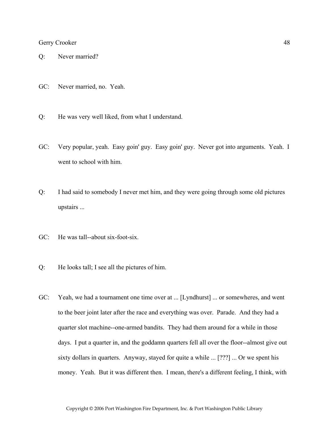- Q: Never married?
- GC: Never married, no. Yeah.
- Q: He was very well liked, from what I understand.
- GC: Very popular, yeah. Easy goin' guy. Easy goin' guy. Never got into arguments. Yeah. I went to school with him.
- Q: I had said to somebody I never met him, and they were going through some old pictures upstairs ...
- GC: He was tall--about six-foot-six.
- Q: He looks tall; I see all the pictures of him.
- GC: Yeah, we had a tournament one time over at ... [Lyndhurst] ... or somewheres, and went to the beer joint later after the race and everything was over. Parade. And they had a quarter slot machine--one-armed bandits. They had them around for a while in those days. I put a quarter in, and the goddamn quarters fell all over the floor--almost give out sixty dollars in quarters. Anyway, stayed for quite a while ... [???] ... Or we spent his money. Yeah. But it was different then. I mean, there's a different feeling, I think, with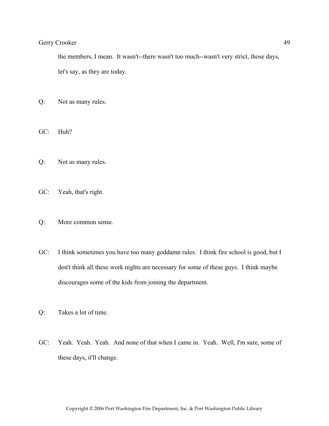the members, I mean. It wasn't--there wasn't too much--wasn't very strict, those days, let's say, as they are today.

- Q: Not as many rules.
- GC: Huh?
- Q: Not as many rules.
- GC: Yeah, that's right.
- Q: More common sense.
- GC: I think sometimes you have too many goddamn rules. I think fire school is good, but I don't think all these work nights are necessary for some of these guys. I think maybe discourages some of the kids from joining the department.
- Q: Takes a lot of time.
- GC: Yeah. Yeah. Yeah. And none of that when I came in. Yeah. Well, I'm sure, some of these days, it'll change.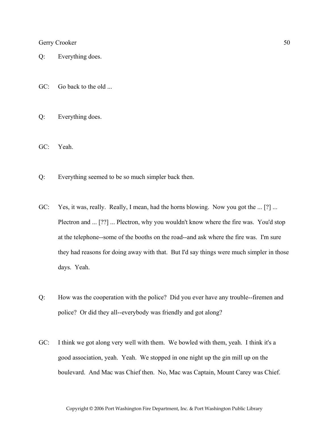- Q: Everything does.
- GC: Go back to the old ...
- Q: Everything does.
- GC: Yeah.
- Q: Everything seemed to be so much simpler back then.
- GC: Yes, it was, really. Really, I mean, had the horns blowing. Now you got the ... [?] ... Plectron and ... [??] ... Plectron, why you wouldn't know where the fire was. You'd stop at the telephone--some of the booths on the road--and ask where the fire was. I'm sure they had reasons for doing away with that. But I'd say things were much simpler in those days. Yeah.
- Q: How was the cooperation with the police? Did you ever have any trouble--firemen and police? Or did they all--everybody was friendly and got along?
- GC: I think we got along very well with them. We bowled with them, yeah. I think it's a good association, yeah. Yeah. We stopped in one night up the gin mill up on the boulevard. And Mac was Chief then. No, Mac was Captain, Mount Carey was Chief.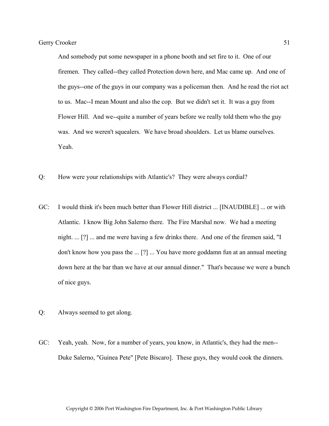And somebody put some newspaper in a phone booth and set fire to it. One of our firemen. They called--they called Protection down here, and Mac came up. And one of the guys--one of the guys in our company was a policeman then. And he read the riot act to us. Mac--I mean Mount and also the cop. But we didn't set it. It was a guy from Flower Hill. And we--quite a number of years before we really told them who the guy was. And we weren't squealers. We have broad shoulders. Let us blame ourselves. Yeah.

- Q: How were your relationships with Atlantic's? They were always cordial?
- GC: I would think it's been much better than Flower Hill district ... [INAUDIBLE] ... or with Atlantic. I know Big John Salerno there. The Fire Marshal now. We had a meeting night. ... [?] ... and me were having a few drinks there. And one of the firemen said, "I don't know how you pass the ... [?] ... You have more goddamn fun at an annual meeting down here at the bar than we have at our annual dinner." That's because we were a bunch of nice guys.
- Q: Always seemed to get along.
- GC: Yeah, yeah. Now, for a number of years, you know, in Atlantic's, they had the men-- Duke Salerno, "Guinea Pete" [Pete Biscaro]. These guys, they would cook the dinners.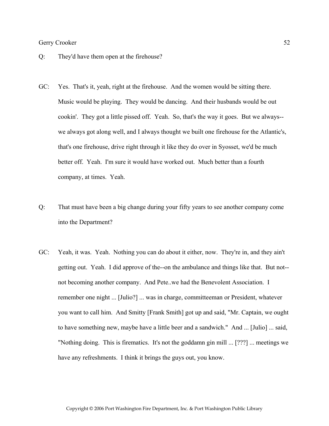- Q: They'd have them open at the firehouse?
- GC: Yes. That's it, yeah, right at the firehouse. And the women would be sitting there. Music would be playing. They would be dancing. And their husbands would be out cookin'. They got a little pissed off. Yeah. So, that's the way it goes. But we always- we always got along well, and I always thought we built one firehouse for the Atlantic's, that's one firehouse, drive right through it like they do over in Syosset, we'd be much better off. Yeah. I'm sure it would have worked out. Much better than a fourth company, at times. Yeah.
- Q: That must have been a big change during your fifty years to see another company come into the Department?
- GC: Yeah, it was. Yeah. Nothing you can do about it either, now. They're in, and they ain't getting out. Yeah. I did approve of the--on the ambulance and things like that. But not- not becoming another company. And Pete..we had the Benevolent Association. I remember one night ... [Julio?] ... was in charge, committeeman or President, whatever you want to call him. And Smitty [Frank Smith] got up and said, "Mr. Captain, we ought to have something new, maybe have a little beer and a sandwich." And ... [Julio] ... said, "Nothing doing. This is firematics. It's not the goddamn gin mill ... [???] ... meetings we have any refreshments. I think it brings the guys out, you know.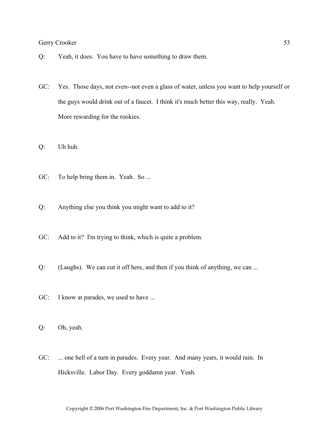- Q: Yeah, it does. You have to have something to draw them.
- GC: Yes. Those days, not even--not even a glass of water, unless you want to help yourself or the guys would drink out of a faucet. I think it's much better this way, really. Yeah. More rewarding for the rookies.
- Q: Uh huh.
- GC: To help bring them in. Yeah. So ...
- Q: Anything else you think you might want to add to it?
- GC: Add to it? I'm trying to think, which is quite a problem.
- Q: (Laughs). We can cut it off here, and then if you think of anything, we can ...
- GC: I know at parades, we used to have ...
- Q: Oh, yeah.
- GC: ... one hell of a turn in parades. Every year. And many years, it would rain. In Hicksville. Labor Day. Every goddamn year. Yeah.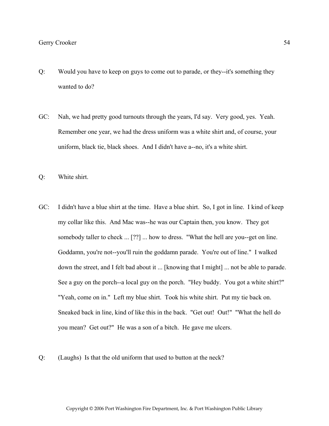- Q: Would you have to keep on guys to come out to parade, or they--it's something they wanted to do?
- GC: Nah, we had pretty good turnouts through the years, I'd say. Very good, yes. Yeah. Remember one year, we had the dress uniform was a white shirt and, of course, your uniform, black tie, black shoes. And I didn't have a--no, it's a white shirt.
- Q: White shirt.
- GC: I didn't have a blue shirt at the time. Have a blue shirt. So, I got in line. I kind of keep my collar like this. And Mac was--he was our Captain then, you know. They got somebody taller to check ... [??] ... how to dress. "What the hell are you--get on line. Goddamn, you're not--you'll ruin the goddamn parade. You're out of line." I walked down the street, and I felt bad about it ... [knowing that I might] ... not be able to parade. See a guy on the porch--a local guy on the porch. "Hey buddy. You got a white shirt?" "Yeah, come on in." Left my blue shirt. Took his white shirt. Put my tie back on. Sneaked back in line, kind of like this in the back. "Get out! Out!" "What the hell do you mean? Get out?" He was a son of a bitch. He gave me ulcers.
- Q: (Laughs) Is that the old uniform that used to button at the neck?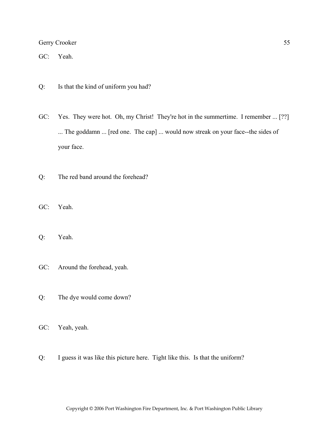GC: Yeah.

- Q: Is that the kind of uniform you had?
- GC: Yes. They were hot. Oh, my Christ! They're hot in the summertime. I remember ... [??] ... The goddamn ... [red one. The cap] ... would now streak on your face--the sides of your face.
- Q: The red band around the forehead?
- GC: Yeah.
- Q: Yeah.
- GC: Around the forehead, yeah.
- Q: The dye would come down?
- GC: Yeah, yeah.
- Q: I guess it was like this picture here. Tight like this. Is that the uniform?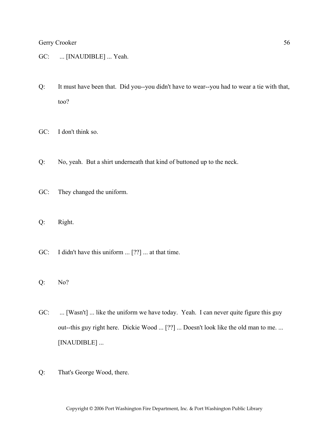- GC: ... [INAUDIBLE] ... Yeah.
- Q: It must have been that. Did you--you didn't have to wear--you had to wear a tie with that, too?
- GC: I don't think so.
- Q: No, yeah. But a shirt underneath that kind of buttoned up to the neck.
- GC: They changed the uniform.
- Q: Right.
- GC: I didn't have this uniform ... [??] ... at that time.
- Q: No?
- GC: ... [Wasn't] ... like the uniform we have today. Yeah. I can never quite figure this guy out--this guy right here. Dickie Wood ... [??] ... Doesn't look like the old man to me. ... [INAUDIBLE] ...
- Q: That's George Wood, there.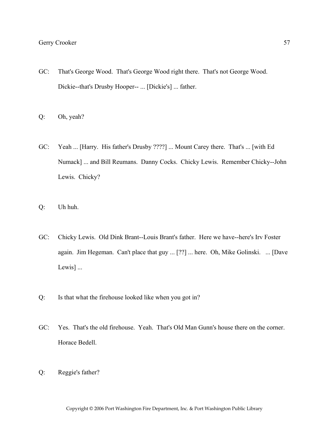- GC: That's George Wood. That's George Wood right there. That's not George Wood. Dickie--that's Drusby Hooper-- ... [Dickie's] ... father.
- Q: Oh, yeah?
- GC: Yeah ... [Harry. His father's Drusby ????] ... Mount Carey there. That's ... [with Ed Numack] ... and Bill Reumans. Danny Cocks. Chicky Lewis. Remember Chicky--John Lewis. Chicky?
- Q: Uh huh.
- GC: Chicky Lewis. Old Dink Brant--Louis Brant's father. Here we have--here's Irv Foster again. Jim Hegeman. Can't place that guy ... [??] ... here. Oh, Mike Golinski. ... [Dave Lewis] ...
- Q: Is that what the firehouse looked like when you got in?
- GC: Yes. That's the old firehouse. Yeah. That's Old Man Gunn's house there on the corner. Horace Bedell.
- Q: Reggie's father?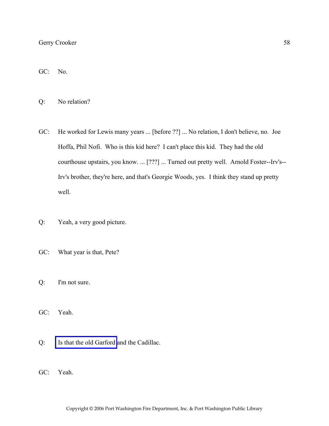GC: No.

Q: No relation?

- GC: He worked for Lewis many years ... [before ??] ... No relation, I don't believe, no. Joe Hoffa, Phil Nofi. Who is this kid here? I can't place this kid. They had the old courthouse upstairs, you know. ... [???] ... Turned out pretty well. Arnold Foster--Irv's-- Irv's brother, they're here, and that's Georgie Woods, yes. I think they stand up pretty well.
- Q: Yeah, a very good picture.
- GC: What year is that, Pete?
- Q: I'm not sure.

GC: Yeah.

- Q: [Is that the old Garford](http://www.pwfdhistory.com/trans/crookerg_trans/peco_trucks013.jpg) and the Cadillac.
- GC: Yeah.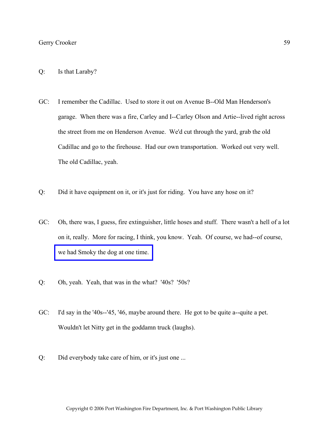- Q: Is that Laraby?
- GC: I remember the Cadillac. Used to store it out on Avenue B--Old Man Henderson's garage. When there was a fire, Carley and I--Carley Olson and Artie--lived right across the street from me on Henderson Avenue. We'd cut through the yard, grab the old Cadillac and go to the firehouse. Had our own transportation. Worked out very well. The old Cadillac, yeah.
- Q: Did it have equipment on it, or it's just for riding. You have any hose on it?
- GC: Oh, there was, I guess, fire extinguisher, little hoses and stuff. There wasn't a hell of a lot on it, really. More for racing, I think, you know. Yeah. Of course, we had--of course, [we had Smoky the dog at one time.](http://www.pwfdhistory.com/trans/crookerg_trans/peco_smokey003.jpg)
- Q: Oh, yeah. Yeah, that was in the what? '40s? '50s?
- GC: I'd say in the '40s--'45, '46, maybe around there. He got to be quite a--quite a pet. Wouldn't let Nitty get in the goddamn truck (laughs).
- Q: Did everybody take care of him, or it's just one ...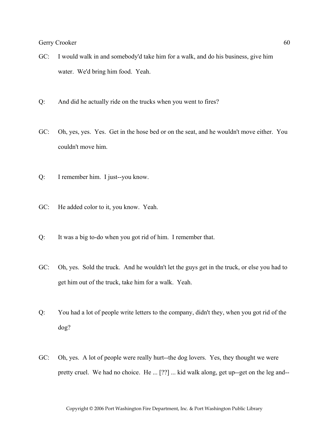- GC: I would walk in and somebody'd take him for a walk, and do his business, give him water. We'd bring him food. Yeah.
- Q: And did he actually ride on the trucks when you went to fires?
- GC: Oh, yes, yes. Yes. Get in the hose bed or on the seat, and he wouldn't move either. You couldn't move him.
- Q: I remember him. I just--you know.
- GC: He added color to it, you know. Yeah.
- Q: It was a big to-do when you got rid of him. I remember that.
- GC: Oh, yes. Sold the truck. And he wouldn't let the guys get in the truck, or else you had to get him out of the truck, take him for a walk. Yeah.
- Q: You had a lot of people write letters to the company, didn't they, when you got rid of the dog?
- GC: Oh, yes. A lot of people were really hurt--the dog lovers. Yes, they thought we were pretty cruel. We had no choice. He ... [??] ... kid walk along, get up--get on the leg and--